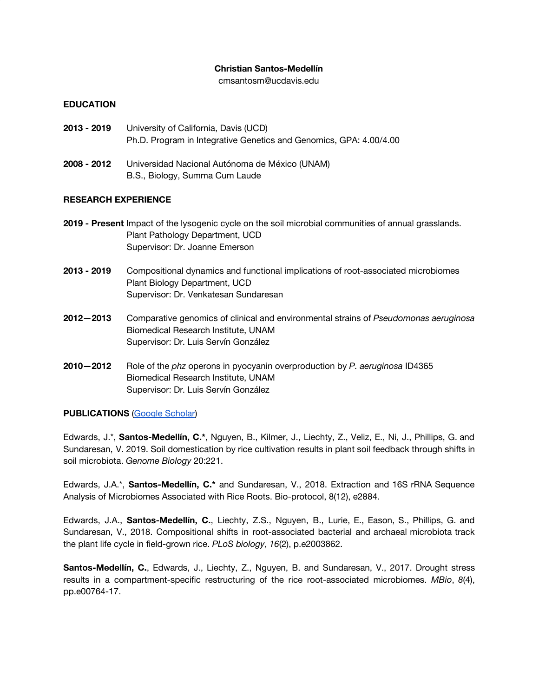#### **Christian Santos-Medellín**

[cmsantosm@ucdavis.edu](mailto:cmsantosm@ucdavis.edu)

### **EDUCATION**

- **2013 - 2019** University of California, Davis (UCD) Ph.D. Program in Integrative Genetics and Genomics, GPA: 4.00/4.00
- **2008 - 2012** Universidad Nacional Autónoma de México (UNAM) B.S., Biology, Summa Cum Laude

#### **RESEARCH EXPERIENCE**

- **2019 - Present** Impact of the lysogenic cycle on the soil microbial communities of annual grasslands. Plant Pathology Department, UCD Supervisor: Dr. Joanne Emerson
- **2013 - 2019** Compositional dynamics and functional implications of root-associated microbiomes Plant Biology Department, UCD Supervisor: Dr. Venkatesan Sundaresan
- **2012—2013** Comparative genomics of clinical and environmental strains of *Pseudomonas aeruginosa* Biomedical Research Institute, UNAM Supervisor: Dr. Luis Servín González
- **2010—2012** Role of the *phz* operons in pyocyanin overproduction by *P. aeruginosa* ID4365 Biomedical Research Institute, UNAM Supervisor: Dr. Luis Servín González

### **PUBLICATIONS** (Google [Scholar](https://scholar.google.com/citations?user=L04zly4AAAAJ&hl=en))

Edwards, J.\*, **Santos-Medellín, C.\***, Nguyen, B., Kilmer, J., Liechty, Z., Veliz, E., Ni, J., Phillips, G. and Sundaresan, V. 2019. Soil domestication by rice cultivation results in plant soil feedback through shifts in soil microbiota. *Genome Biology* 20:221.

Edwards, J.A.\*, **Santos-Medellín, C.\*** and Sundaresan, V., 2018. Extraction and 16S rRNA Sequence Analysis of Microbiomes Associated with Rice Roots. Bio-protocol, 8(12), e2884.

Edwards, J.A., **Santos-Medellín, C.**, Liechty, Z.S., Nguyen, B., Lurie, E., Eason, S., Phillips, G. and Sundaresan, V., 2018. Compositional shifts in root-associated bacterial and archaeal microbiota track the plant life cycle in field-grown rice. *PLoS biology*, *16*(2), p.e2003862.

**Santos-Medellín, C.**, Edwards, J., Liechty, Z., Nguyen, B. and Sundaresan, V., 2017. Drought stress results in a compartment-specific restructuring of the rice root-associated microbiomes. *MBio*, *8*(4), pp.e00764-17.